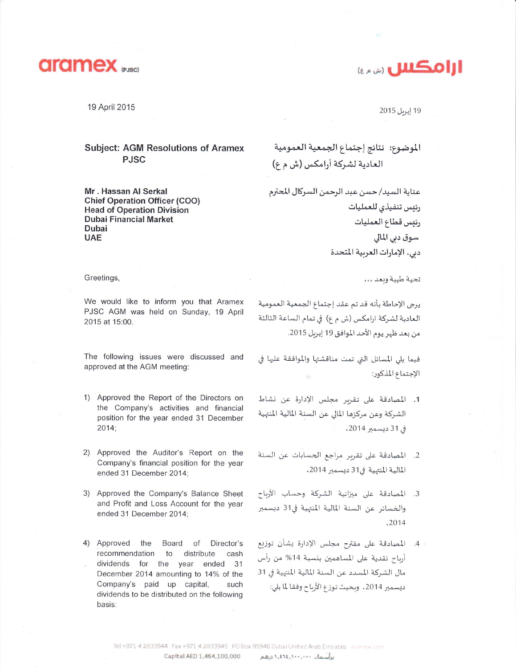

19 April 2015

## **Subject: AGM Resolutions of Aramex PJSC**

Mr. Hassan Al Serkal **Chief Operation Officer (COO) Head of Operation Division Dubai Financial Market Dubai UAE** 

ارامكس

19 إبريل 2015

الموضوع: نتائج إجتماع الجمعية العمومية العادية لشركة أرامكس (ش م ع)

عناية السيد/ حسن عبد الرحمن السركال المحترم رئس تنفيذي للعمليات رئيس قطاع العمليات سوق دہی المالی دبي، الإمارات العربية المتحدة

تحية طيبة وبعد ...

يرجى الإحاطة بأنه قدتم عقد إجتماع الجمعية العمومية العادية لشركة ارامكس (ش م ع) في تمام الساعة الثالثة من بعد ظهر يوم الأحد الموافق 19 إبريل 2015.

فيما يلي المسائل التي تمت مناقشتها والموافقة عليها في الإجتماع المذكور:

- 1. المصادقة على تقرير مجلس الإدارة عن نشاط الشركة وعن مركزها المالي عن السنة المالية المنهية في 31 ديسمبر 2014،
- 2. المصادقة على تقرير مراجع الحسابات عن السنة المالية المنتهية في31 ديسمبر 2014.
- 3. المصادقة على ميزانية الشركة وحساب الأرباح والخسائر عن السنة المالية المنتهية في31 ديسمبر .2014
- المصادقة على مقترح مجلس الإدارة بشأن توزيع  $.4 -$ أرباح نقدية على المساهمين بنسبة 14% من رأس مال الشركة المسدد عن السنة المالية المنهية في 31 ديسمبر 2014، وبحيث توزع الأرباح وفقا لما يلي:

Greetings,

We would like to inform you that Aramex PJSC AGM was held on Sunday, 19 April 2015 at 15:00.

The following issues were discussed and approved at the AGM meeting:

- 1) Approved the Report of the Directors on the Company's activities and financial position for the year ended 31 December  $2014;$
- 2) Approved the Auditor's Report on the Company's financial position for the year ended 31 December 2014;
- 3) Approved the Company's Balance Sheet and Profit and Loss Account for the year ended 31 December 2014;
- 4) Approved the Board of Director's recommendation  $\overline{10}$ distribute cash dividends for the year ended 31 December 2014 amounting to 14% of the Company's paid up capital, such dividends to be distributed on the following basis:

Tel +971 4 2833944 Fax +971 4 2833945 PO Box 95946 Dubai United Arab Emirates aramex com Capital AED 1,464,100,000 براسمال ۱٬۱۱٬۱۰۰٬۰۰۰ درهم